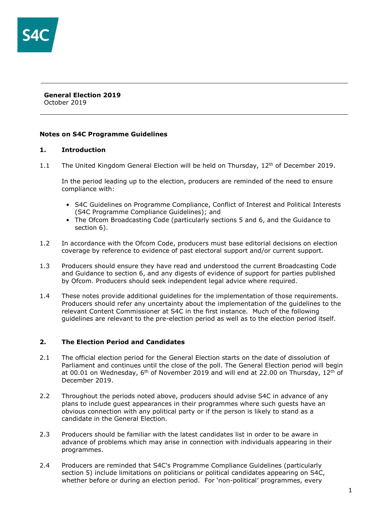#### **General Election 2019** October 2019

## **Notes on S4C Programme Guidelines**

## **1. Introduction**

1.1 The United Kingdom General Election will be held on Thursday,  $12<sup>th</sup>$  of December 2019.

In the period leading up to the election, producers are reminded of the need to ensure compliance with:

- S4C Guidelines on Programme Compliance, Conflict of Interest and Political Interests (S4C Programme Compliance Guidelines); and
- The Ofcom Broadcasting Code (particularly sections 5 and 6, and the Guidance to section 6).
- 1.2 In accordance with the Ofcom Code, producers must base editorial decisions on election coverage by reference to evidence of past electoral support and/or current support.
- 1.3 Producers should ensure they have read and understood the current Broadcasting Code and Guidance to section 6, and any digests of evidence of support for parties published by Ofcom. Producers should seek independent legal advice where required.
- 1.4 These notes provide additional guidelines for the implementation of those requirements. Producers should refer any uncertainty about the implementation of the guidelines to the relevant Content Commissioner at S4C in the first instance. Much of the following guidelines are relevant to the pre-election period as well as to the election period itself.

## **2. The Election Period and Candidates**

- 2.1 The official election period for the General Election starts on the date of dissolution of Parliament and continues until the close of the poll. The General Election period will begin at 00.01 on Wednesday,  $6<sup>th</sup>$  of November 2019 and will end at 22.00 on Thursday, 12<sup>th</sup> of December 2019.
- 2.2 Throughout the periods noted above, producers should advise S4C in advance of any plans to include guest appearances in their programmes where such guests have an obvious connection with any political party or if the person is likely to stand as a candidate in the General Election.
- 2.3 Producers should be familiar with the latest candidates list in order to be aware in advance of problems which may arise in connection with individuals appearing in their programmes.
- 2.4 Producers are reminded that S4C's Programme Compliance Guidelines (particularly section 5) include limitations on politicians or political candidates appearing on S4C, whether before or during an election period. For 'non-political' programmes, every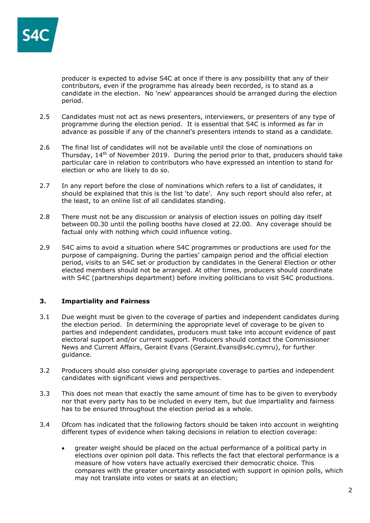

producer is expected to advise S4C at once if there is any possibility that any of their contributors, even if the programme has already been recorded, is to stand as a candidate in the election. No 'new' appearances should be arranged during the election period.

- 2.5 Candidates must not act as news presenters, interviewers, or presenters of any type of programme during the election period. It is essential that S4C is informed as far in advance as possible if any of the channel's presenters intends to stand as a candidate.
- 2.6 The final list of candidates will not be available until the close of nominations on Thursday.  $14<sup>th</sup>$  of November 2019. During the period prior to that, producers should take particular care in relation to contributors who have expressed an intention to stand for election or who are likely to do so.
- 2.7 In any report before the close of nominations which refers to a list of candidates, it should be explained that this is the list 'to date'. Any such report should also refer, at the least, to an online list of all candidates standing.
- 2.8 There must not be any discussion or analysis of election issues on polling day itself between 00.30 until the polling booths have closed at 22.00. Any coverage should be factual only with nothing which could influence voting.
- 2.9 S4C aims to avoid a situation where S4C programmes or productions are used for the purpose of campaigning. During the parties' campaign period and the official election period, visits to an S4C set or production by candidates in the General Election or other elected members should not be arranged. At other times, producers should coordinate with S4C (partnerships department) before inviting politicians to visit S4C productions.

## **3. Impartiality and Fairness**

- 3.1 Due weight must be given to the coverage of parties and independent candidates during the election period. In determining the appropriate level of coverage to be given to parties and independent candidates, producers must take into account evidence of past electoral support and/or current support. Producers should contact the Commissioner News and Current Affairs, Geraint Evans (Geraint.Evans@s4c.cymru), for further guidance.
- 3.2 Producers should also consider giving appropriate coverage to parties and independent candidates with significant views and perspectives.
- 3.3 This does not mean that exactly the same amount of time has to be given to everybody nor that every party has to be included in every item, but due impartiality and fairness has to be ensured throughout the election period as a whole.
- 3.4 Ofcom has indicated that the following factors should be taken into account in weighting different types of evidence when taking decisions in relation to election coverage:
	- greater weight should be placed on the actual performance of a political party in elections over opinion poll data. This reflects the fact that electoral performance is a measure of how voters have actually exercised their democratic choice. This compares with the greater uncertainty associated with support in opinion polls, which may not translate into votes or seats at an election;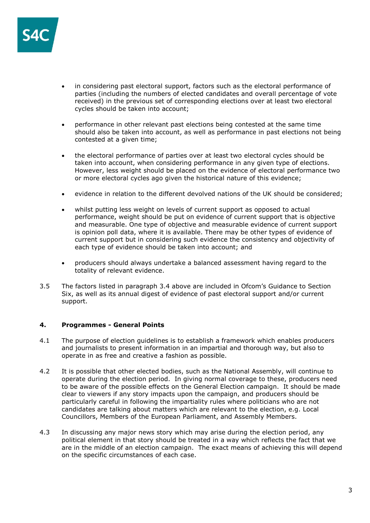

- in considering past electoral support, factors such as the electoral performance of parties (including the numbers of elected candidates and overall percentage of vote received) in the previous set of corresponding elections over at least two electoral cycles should be taken into account;
- performance in other relevant past elections being contested at the same time should also be taken into account, as well as performance in past elections not being contested at a given time;
- the electoral performance of parties over at least two electoral cycles should be taken into account, when considering performance in any given type of elections. However, less weight should be placed on the evidence of electoral performance two or more electoral cycles ago given the historical nature of this evidence;
- evidence in relation to the different devolved nations of the UK should be considered;
- whilst putting less weight on levels of current support as opposed to actual performance, weight should be put on evidence of current support that is objective and measurable. One type of objective and measurable evidence of current support is opinion poll data, where it is available. There may be other types of evidence of current support but in considering such evidence the consistency and objectivity of each type of evidence should be taken into account; and
- producers should always undertake a balanced assessment having regard to the totality of relevant evidence.
- 3.5 The factors listed in paragraph 3.4 above are included in Ofcom's Guidance to Section Six, as well as its annual digest of evidence of past electoral support and/or current support.

## **4. Programmes - General Points**

- 4.1 The purpose of election guidelines is to establish a framework which enables producers and journalists to present information in an impartial and thorough way, but also to operate in as free and creative a fashion as possible.
- 4.2 It is possible that other elected bodies, such as the National Assembly, will continue to operate during the election period. In giving normal coverage to these, producers need to be aware of the possible effects on the General Election campaign. It should be made clear to viewers if any story impacts upon the campaign, and producers should be particularly careful in following the impartiality rules where politicians who are not candidates are talking about matters which are relevant to the election, e.g. Local Councillors, Members of the European Parliament, and Assembly Members.
- 4.3 In discussing any major news story which may arise during the election period, any political element in that story should be treated in a way which reflects the fact that we are in the middle of an election campaign. The exact means of achieving this will depend on the specific circumstances of each case.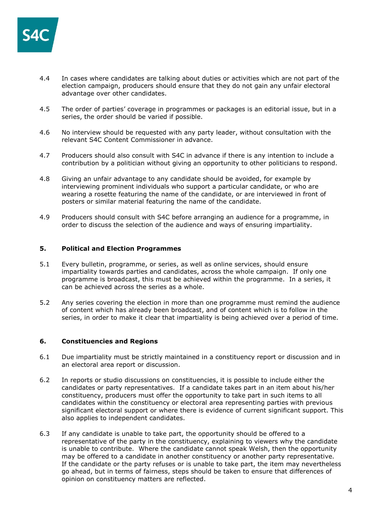

- 4.4 In cases where candidates are talking about duties or activities which are not part of the election campaign, producers should ensure that they do not gain any unfair electoral advantage over other candidates.
- 4.5 The order of parties' coverage in programmes or packages is an editorial issue, but in a series, the order should be varied if possible.
- 4.6 No interview should be requested with any party leader, without consultation with the relevant S4C Content Commissioner in advance.
- 4.7 Producers should also consult with S4C in advance if there is any intention to include a contribution by a politician without giving an opportunity to other politicians to respond.
- 4.8 Giving an unfair advantage to any candidate should be avoided, for example by interviewing prominent individuals who support a particular candidate, or who are wearing a rosette featuring the name of the candidate, or are interviewed in front of posters or similar material featuring the name of the candidate.
- 4.9 Producers should consult with S4C before arranging an audience for a programme, in order to discuss the selection of the audience and ways of ensuring impartiality.

### **5. Political and Election Programmes**

- 5.1 Every bulletin, programme, or series, as well as online services, should ensure impartiality towards parties and candidates, across the whole campaign. If only one programme is broadcast, this must be achieved within the programme. In a series, it can be achieved across the series as a whole.
- 5.2 Any series covering the election in more than one programme must remind the audience of content which has already been broadcast, and of content which is to follow in the series, in order to make it clear that impartiality is being achieved over a period of time.

### **6. Constituencies and Regions**

- 6.1 Due impartiality must be strictly maintained in a constituency report or discussion and in an electoral area report or discussion.
- 6.2 In reports or studio discussions on constituencies, it is possible to include either the candidates or party representatives. If a candidate takes part in an item about his/her constituency, producers must offer the opportunity to take part in such items to all candidates within the constituency or electoral area representing parties with previous significant electoral support or where there is evidence of current significant support. This also applies to independent candidates.
- 6.3 If any candidate is unable to take part, the opportunity should be offered to a representative of the party in the constituency, explaining to viewers why the candidate is unable to contribute. Where the candidate cannot speak Welsh, then the opportunity may be offered to a candidate in another constituency or another party representative. If the candidate or the party refuses or is unable to take part, the item may nevertheless go ahead, but in terms of fairness, steps should be taken to ensure that differences of opinion on constituency matters are reflected.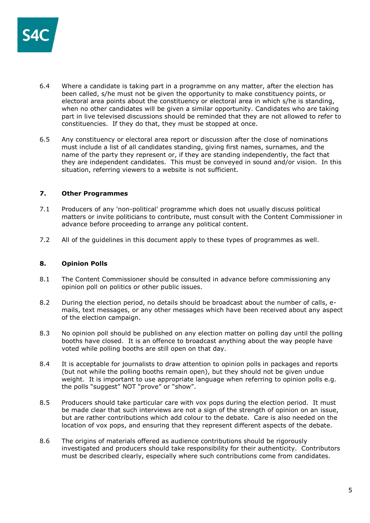

- 6.4 Where a candidate is taking part in a programme on any matter, after the election has been called, s/he must not be given the opportunity to make constituency points, or electoral area points about the constituency or electoral area in which s/he is standing, when no other candidates will be given a similar opportunity. Candidates who are taking part in live televised discussions should be reminded that they are not allowed to refer to constituencies. If they do that, they must be stopped at once.
- 6.5 Any constituency or electoral area report or discussion after the close of nominations must include a list of all candidates standing, giving first names, surnames, and the name of the party they represent or, if they are standing independently, the fact that they are independent candidates. This must be conveyed in sound and/or vision. In this situation, referring viewers to a website is not sufficient.

### **7. Other Programmes**

- 7.1 Producers of any 'non-political' programme which does not usually discuss political matters or invite politicians to contribute, must consult with the Content Commissioner in advance before proceeding to arrange any political content.
- 7.2 All of the guidelines in this document apply to these types of programmes as well.

### **8. Opinion Polls**

- 8.1 The Content Commissioner should be consulted in advance before commissioning any opinion poll on politics or other public issues.
- 8.2 During the election period, no details should be broadcast about the number of calls, emails, text messages, or any other messages which have been received about any aspect of the election campaign.
- 8.3 No opinion poll should be published on any election matter on polling day until the polling booths have closed. It is an offence to broadcast anything about the way people have voted while polling booths are still open on that day.
- 8.4 It is acceptable for journalists to draw attention to opinion polls in packages and reports (but not while the polling booths remain open), but they should not be given undue weight. It is important to use appropriate language when referring to opinion polls e.g. the polls "suggest" NOT "prove" or "show".
- 8.5 Producers should take particular care with vox pops during the election period. It must be made clear that such interviews are not a sign of the strength of opinion on an issue, but are rather contributions which add colour to the debate. Care is also needed on the location of vox pops, and ensuring that they represent different aspects of the debate.
- 8.6 The origins of materials offered as audience contributions should be rigorously investigated and producers should take responsibility for their authenticity. Contributors must be described clearly, especially where such contributions come from candidates.